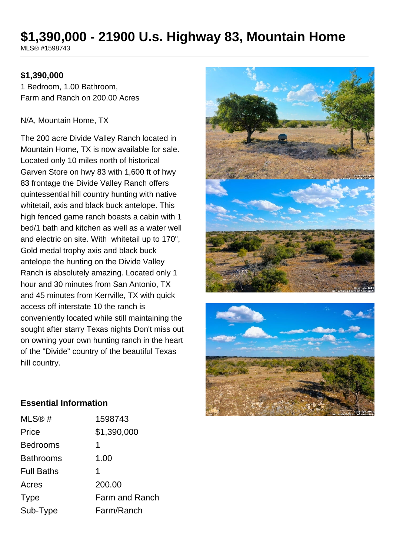# **\$1,390,000 - 21900 U.s. Highway 83, Mountain Home**

MLS® #1598743

### **\$1,390,000**

1 Bedroom, 1.00 Bathroom, Farm and Ranch on 200.00 Acres

#### N/A, Mountain Home, TX

The 200 acre Divide Valley Ranch located in Mountain Home, TX is now available for sale. Located only 10 miles north of historical Garven Store on hwy 83 with 1,600 ft of hwy 83 frontage the Divide Valley Ranch offers quintessential hill country hunting with native whitetail, axis and black buck antelope. This high fenced game ranch boasts a cabin with 1 bed/1 bath and kitchen as well as a water well and electric on site. With whitetail up to 170", Gold medal trophy axis and black buck antelope the hunting on the Divide Valley Ranch is absolutely amazing. Located only 1 hour and 30 minutes from San Antonio, TX and 45 minutes from Kerrville, TX with quick access off interstate 10 the ranch is conveniently located while still maintaining the sought after starry Texas nights Don't miss out on owning your own hunting ranch in the heart of the "Divide" country of the beautiful Texas hill country.





#### **Essential Information**

| MLS@#             | 1598743        |
|-------------------|----------------|
| Price             | \$1,390,000    |
| <b>Bedrooms</b>   | 1              |
| <b>Bathrooms</b>  | 1.00           |
| <b>Full Baths</b> | 1              |
| Acres             | 200.00         |
| <b>Type</b>       | Farm and Ranch |
| Sub-Type          | Farm/Ranch     |